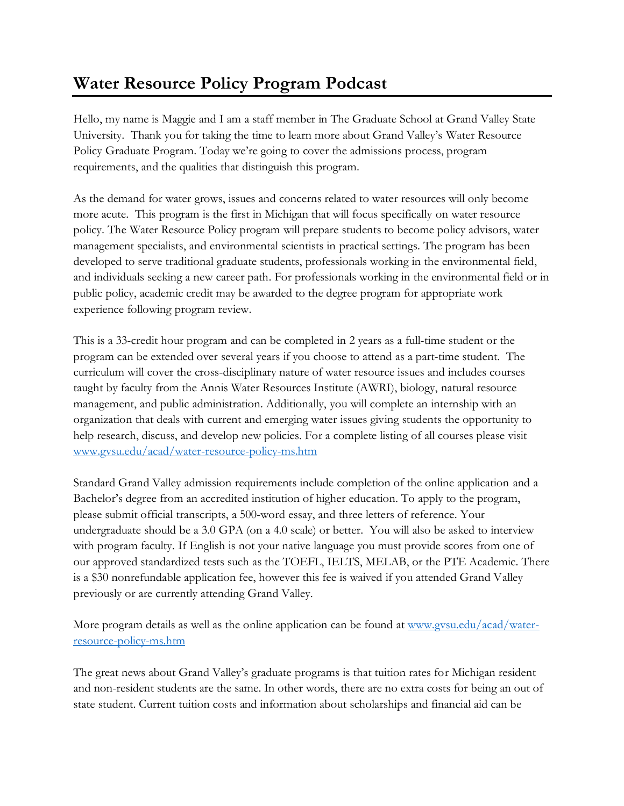## **Water Resource Policy Program Podcast**

Hello, my name is Maggie and I am a staff member in The Graduate School at Grand Valley State University. Thank you for taking the time to learn more about Grand Valley's Water Resource Policy Graduate Program. Today we're going to cover the admissions process, program requirements, and the qualities that distinguish this program.

As the demand for water grows, issues and concerns related to water resources will only become more acute. This program is the first in Michigan that will focus specifically on water resource policy. The Water Resource Policy program will prepare students to become policy advisors, water management specialists, and environmental scientists in practical settings. The program has been developed to serve traditional graduate students, professionals working in the environmental field, and individuals seeking a new career path. For professionals working in the environmental field or in public policy, academic credit may be awarded to the degree program for appropriate work experience following program review.

This is a 33-credit hour program and can be completed in 2 years as a full-time student or the program can be extended over several years if you choose to attend as a part-time student. The curriculum will cover the cross-disciplinary nature of water resource issues and includes courses taught by faculty from the Annis Water Resources Institute (AWRI), biology, natural resource management, and public administration. Additionally, you will complete an internship with an organization that deals with current and emerging water issues giving students the opportunity to help research, discuss, and develop new policies. For a complete listing of all courses please visit [www.gvsu.edu/acad/water-resource-policy-ms.htm](http://www.gvsu.edu/acad/water-resource-policy-ms.htm)

Standard Grand Valley admission requirements include completion of the online application and a Bachelor's degree from an accredited institution of higher education. To apply to the program, please submit official transcripts, a 500-word essay, and three letters of reference. Your undergraduate should be a 3.0 GPA (on a 4.0 scale) or better. You will also be asked to interview with program faculty. If English is not your native language you must provide scores from one of our approved standardized tests such as the TOEFL, IELTS, MELAB, or the PTE Academic. There is a \$30 nonrefundable application fee, however this fee is waived if you attended Grand Valley previously or are currently attending Grand Valley.

More program details as well as the online application can be found at www.gysu.edu/acad/water[resource-policy-ms.htm](www.gvsu.edu/acad/water-resource-policy-ms.htm)

The great news about Grand Valley's graduate programs is that tuition rates for Michigan resident and non-resident students are the same. In other words, there are no extra costs for being an out of state student. Current tuition costs and information about scholarships and financial aid can be